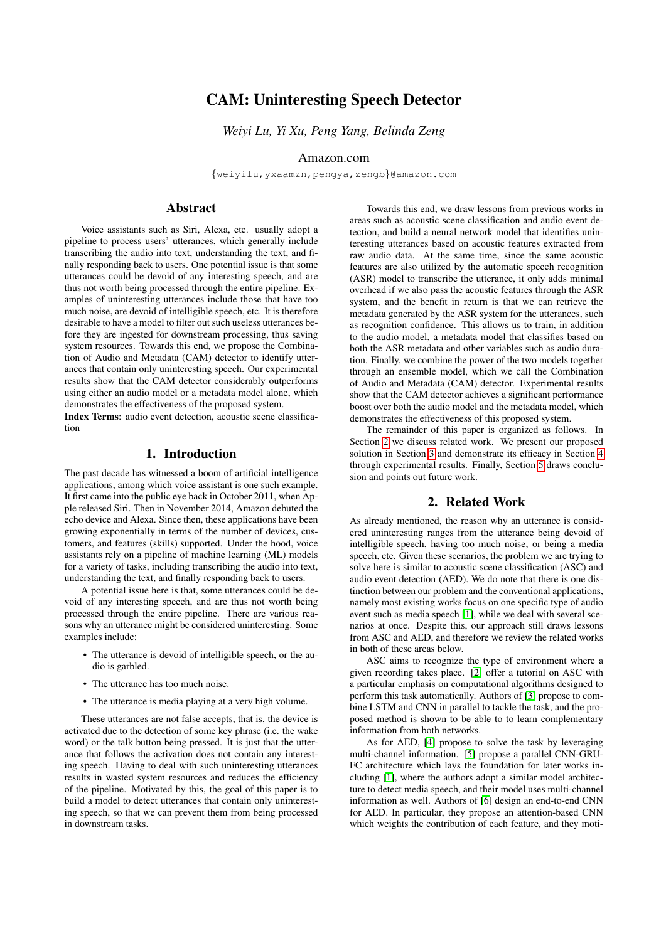# CAM: Uninteresting Speech Detector

*Weiyi Lu, Yi Xu, Peng Yang, Belinda Zeng*

Amazon.com

{weiyilu,yxaamzn,pengya,zengb}@amazon.com

# **Abstract**

Voice assistants such as Siri, Alexa, etc. usually adopt a pipeline to process users' utterances, which generally include transcribing the audio into text, understanding the text, and finally responding back to users. One potential issue is that some utterances could be devoid of any interesting speech, and are thus not worth being processed through the entire pipeline. Examples of uninteresting utterances include those that have too much noise, are devoid of intelligible speech, etc. It is therefore desirable to have a model to filter out such useless utterances before they are ingested for downstream processing, thus saving system resources. Towards this end, we propose the Combination of Audio and Metadata (CAM) detector to identify utterances that contain only uninteresting speech. Our experimental results show that the CAM detector considerably outperforms using either an audio model or a metadata model alone, which demonstrates the effectiveness of the proposed system.

Index Terms: audio event detection, acoustic scene classification

### 1. Introduction

The past decade has witnessed a boom of artificial intelligence applications, among which voice assistant is one such example. It first came into the public eye back in October 2011, when Apple released Siri. Then in November 2014, Amazon debuted the echo device and Alexa. Since then, these applications have been growing exponentially in terms of the number of devices, customers, and features (skills) supported. Under the hood, voice assistants rely on a pipeline of machine learning (ML) models for a variety of tasks, including transcribing the audio into text, understanding the text, and finally responding back to users.

A potential issue here is that, some utterances could be devoid of any interesting speech, and are thus not worth being processed through the entire pipeline. There are various reasons why an utterance might be considered uninteresting. Some examples include:

- The utterance is devoid of intelligible speech, or the audio is garbled.
- The utterance has too much noise.
- The utterance is media playing at a very high volume.

These utterances are not false accepts, that is, the device is activated due to the detection of some key phrase (i.e. the wake word) or the talk button being pressed. It is just that the utterance that follows the activation does not contain any interesting speech. Having to deal with such uninteresting utterances results in wasted system resources and reduces the efficiency of the pipeline. Motivated by this, the goal of this paper is to build a model to detect utterances that contain only uninteresting speech, so that we can prevent them from being processed in downstream tasks.

Towards this end, we draw lessons from previous works in areas such as acoustic scene classification and audio event detection, and build a neural network model that identifies uninteresting utterances based on acoustic features extracted from raw audio data. At the same time, since the same acoustic features are also utilized by the automatic speech recognition (ASR) model to transcribe the utterance, it only adds minimal overhead if we also pass the acoustic features through the ASR system, and the benefit in return is that we can retrieve the metadata generated by the ASR system for the utterances, such as recognition confidence. This allows us to train, in addition to the audio model, a metadata model that classifies based on both the ASR metadata and other variables such as audio duration. Finally, we combine the power of the two models together through an ensemble model, which we call the Combination of Audio and Metadata (CAM) detector. Experimental results show that the CAM detector achieves a significant performance boost over both the audio model and the metadata model, which demonstrates the effectiveness of this proposed system.

The remainder of this paper is organized as follows. In Section [2](#page-0-0) we discuss related work. We present our proposed solution in Section [3](#page-1-0) and demonstrate its efficacy in Section [4](#page-2-0) through experimental results. Finally, Section [5](#page-3-0) draws conclusion and points out future work.

# 2. Related Work

<span id="page-0-0"></span>As already mentioned, the reason why an utterance is considered uninteresting ranges from the utterance being devoid of intelligible speech, having too much noise, or being a media speech, etc. Given these scenarios, the problem we are trying to solve here is similar to acoustic scene classification (ASC) and audio event detection (AED). We do note that there is one distinction between our problem and the conventional applications, namely most existing works focus on one specific type of audio event such as media speech [\[1\]](#page-3-1), while we deal with several scenarios at once. Despite this, our approach still draws lessons from ASC and AED, and therefore we review the related works in both of these areas below.

ASC aims to recognize the type of environment where a given recording takes place. [\[2\]](#page-3-2) offer a tutorial on ASC with a particular emphasis on computational algorithms designed to perform this task automatically. Authors of [\[3\]](#page-3-3) propose to combine LSTM and CNN in parallel to tackle the task, and the proposed method is shown to be able to to learn complementary information from both networks.

As for AED, [\[4\]](#page-3-4) propose to solve the task by leveraging multi-channel information. [\[5\]](#page-3-5) propose a parallel CNN-GRU-FC architecture which lays the foundation for later works including [\[1\]](#page-3-1), where the authors adopt a similar model architecture to detect media speech, and their model uses multi-channel information as well. Authors of [\[6\]](#page-3-6) design an end-to-end CNN for AED. In particular, they propose an attention-based CNN which weights the contribution of each feature, and they moti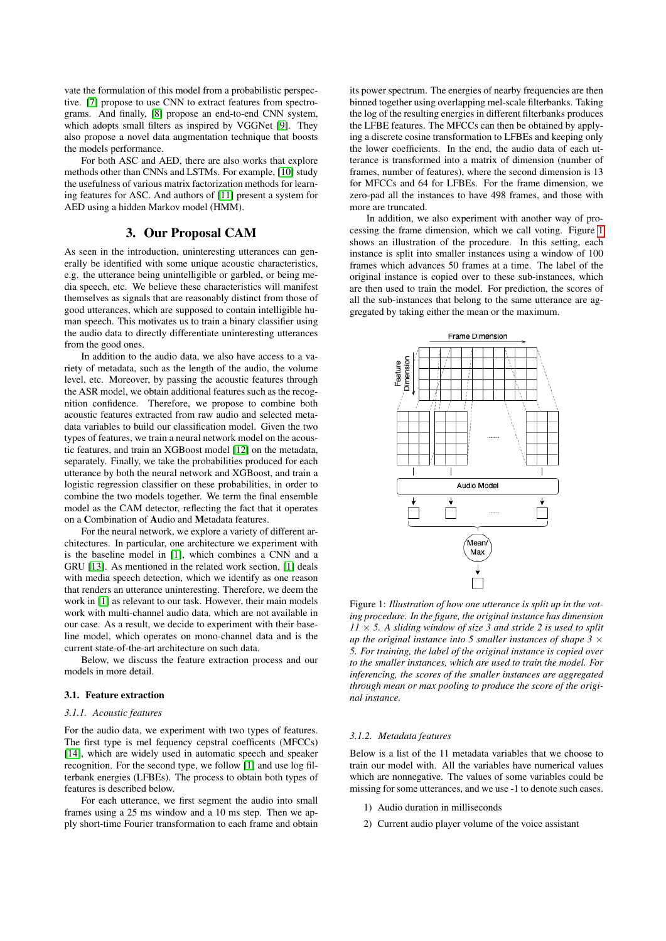vate the formulation of this model from a probabilistic perspective. [\[7\]](#page-3-7) propose to use CNN to extract features from spectrograms. And finally, [\[8\]](#page-3-8) propose an end-to-end CNN system, which adopts small filters as inspired by VGGNet [\[9\]](#page-3-9). They also propose a novel data augmentation technique that boosts the models performance.

For both ASC and AED, there are also works that explore methods other than CNNs and LSTMs. For example, [\[10\]](#page-4-0) study the usefulness of various matrix factorization methods for learning features for ASC. And authors of [\[11\]](#page-4-1) present a system for AED using a hidden Markov model (HMM).

# 3. Our Proposal CAM

<span id="page-1-0"></span>As seen in the introduction, uninteresting utterances can generally be identified with some unique acoustic characteristics, e.g. the utterance being unintelligible or garbled, or being media speech, etc. We believe these characteristics will manifest themselves as signals that are reasonably distinct from those of good utterances, which are supposed to contain intelligible human speech. This motivates us to train a binary classifier using the audio data to directly differentiate uninteresting utterances from the good ones.

In addition to the audio data, we also have access to a variety of metadata, such as the length of the audio, the volume level, etc. Moreover, by passing the acoustic features through the ASR model, we obtain additional features such as the recognition confidence. Therefore, we propose to combine both acoustic features extracted from raw audio and selected metadata variables to build our classification model. Given the two types of features, we train a neural network model on the acoustic features, and train an XGBoost model [\[12\]](#page-4-2) on the metadata, separately. Finally, we take the probabilities produced for each utterance by both the neural network and XGBoost, and train a logistic regression classifier on these probabilities, in order to combine the two models together. We term the final ensemble model as the CAM detector, reflecting the fact that it operates on a Combination of Audio and Metadata features.

For the neural network, we explore a variety of different architectures. In particular, one architecture we experiment with is the baseline model in [\[1\]](#page-3-1), which combines a CNN and a GRU [\[13\]](#page-4-3). As mentioned in the related work section, [\[1\]](#page-3-1) deals with media speech detection, which we identify as one reason that renders an utterance uninteresting. Therefore, we deem the work in [\[1\]](#page-3-1) as relevant to our task. However, their main models work with multi-channel audio data, which are not available in our case. As a result, we decide to experiment with their baseline model, which operates on mono-channel data and is the current state-of-the-art architecture on such data.

Below, we discuss the feature extraction process and our models in more detail.

#### 3.1. Feature extraction

#### <span id="page-1-2"></span>*3.1.1. Acoustic features*

For the audio data, we experiment with two types of features. The first type is mel fequency cepstral coefficents (MFCCs) [\[14\]](#page-4-4), which are widely used in automatic speech and speaker recognition. For the second type, we follow [\[1\]](#page-3-1) and use log filterbank energies (LFBEs). The process to obtain both types of features is described below.

For each utterance, we first segment the audio into small frames using a 25 ms window and a 10 ms step. Then we apply short-time Fourier transformation to each frame and obtain its power spectrum. The energies of nearby frequencies are then binned together using overlapping mel-scale filterbanks. Taking the log of the resulting energies in different filterbanks produces the LFBE features. The MFCCs can then be obtained by applying a discrete cosine transformation to LFBEs and keeping only the lower coefficients. In the end, the audio data of each utterance is transformed into a matrix of dimension (number of frames, number of features), where the second dimension is 13 for MFCCs and 64 for LFBEs. For the frame dimension, we zero-pad all the instances to have 498 frames, and those with more are truncated.

In addition, we also experiment with another way of processing the frame dimension, which we call voting. Figure [1](#page-1-1) shows an illustration of the procedure. In this setting, each instance is split into smaller instances using a window of 100 frames which advances 50 frames at a time. The label of the original instance is copied over to these sub-instances, which are then used to train the model. For prediction, the scores of all the sub-instances that belong to the same utterance are aggregated by taking either the mean or the maximum.

<span id="page-1-1"></span>

Figure 1: *Illustration of how one utterance is split up in the voting procedure. In the figure, the original instance has dimension*  $11 \times 5$ . A sliding window of size 3 and stride 2 is used to split *up the original instance into 5 smaller instances of shape 3*  $\times$ *5. For training, the label of the original instance is copied over to the smaller instances, which are used to train the model. For inferencing, the scores of the smaller instances are aggregated through mean or max pooling to produce the score of the original instance.*

#### *3.1.2. Metadata features*

Below is a list of the 11 metadata variables that we choose to train our model with. All the variables have numerical values which are nonnegative. The values of some variables could be missing for some utterances, and we use -1 to denote such cases.

- 1) Audio duration in milliseconds
- 2) Current audio player volume of the voice assistant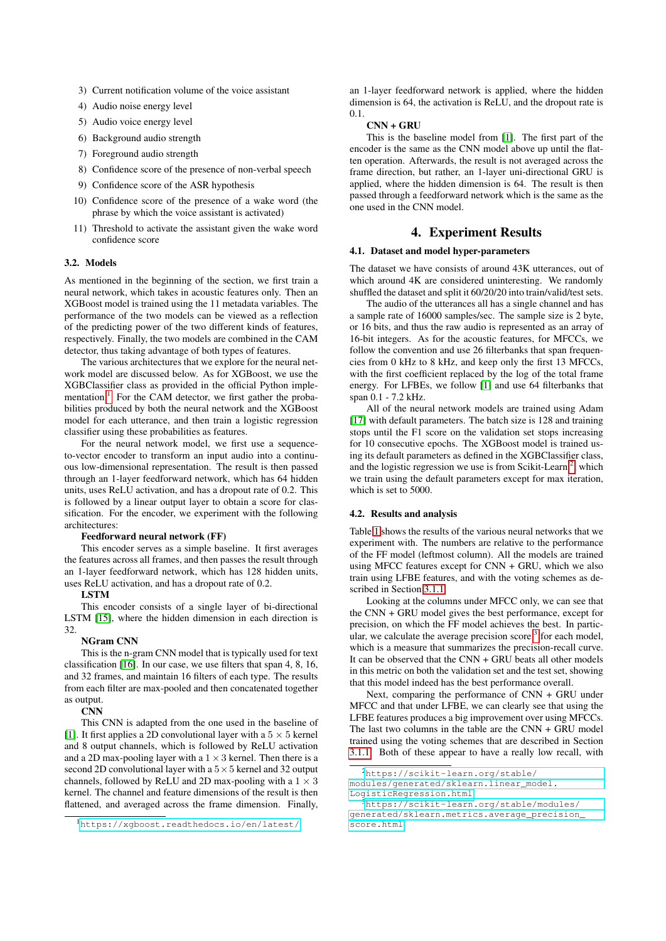- 3) Current notification volume of the voice assistant
- 4) Audio noise energy level
- 5) Audio voice energy level
- 6) Background audio strength
- 7) Foreground audio strength
- 8) Confidence score of the presence of non-verbal speech
- 9) Confidence score of the ASR hypothesis
- 10) Confidence score of the presence of a wake word (the phrase by which the voice assistant is activated)
- 11) Threshold to activate the assistant given the wake word confidence score

## 3.2. Models

As mentioned in the beginning of the section, we first train a neural network, which takes in acoustic features only. Then an XGBoost model is trained using the 11 metadata variables. The performance of the two models can be viewed as a reflection of the predicting power of the two different kinds of features, respectively. Finally, the two models are combined in the CAM detector, thus taking advantage of both types of features.

The various architectures that we explore for the neural network model are discussed below. As for XGBoost, we use the XGBClassifier class as provided in the official Python imple-mentation.<sup>[1](#page-2-1)</sup> For the CAM detector, we first gather the probabilities produced by both the neural network and the XGBoost model for each utterance, and then train a logistic regression classifier using these probabilities as features.

For the neural network model, we first use a sequenceto-vector encoder to transform an input audio into a continuous low-dimensional representation. The result is then passed through an 1-layer feedforward network, which has 64 hidden units, uses ReLU activation, and has a dropout rate of 0.2. This is followed by a linear output layer to obtain a score for classification. For the encoder, we experiment with the following architectures:

#### Feedforward neural network (FF)

This encoder serves as a simple baseline. It first averages the features across all frames, and then passes the result through an 1-layer feedforward network, which has 128 hidden units, uses ReLU activation, and has a dropout rate of 0.2.

#### LSTM

This encoder consists of a single layer of bi-directional LSTM [\[15\]](#page-4-5), where the hidden dimension in each direction is 32.

#### NGram CNN

This is the n-gram CNN model that is typically used for text classification [\[16\]](#page-4-6). In our case, we use filters that span 4, 8, 16, and 32 frames, and maintain 16 filters of each type. The results from each filter are max-pooled and then concatenated together as output.

#### **CNN**

This CNN is adapted from the one used in the baseline of [\[1\]](#page-3-1). It first applies a 2D convolutional layer with a  $5 \times 5$  kernel and 8 output channels, which is followed by ReLU activation and a 2D max-pooling layer with a  $1 \times 3$  kernel. Then there is a second 2D convolutional layer with a  $5 \times 5$  kernel and 32 output channels, followed by ReLU and 2D max-pooling with a  $1 \times 3$ kernel. The channel and feature dimensions of the result is then flattened, and averaged across the frame dimension. Finally, an 1-layer feedforward network is applied, where the hidden dimension is 64, the activation is ReLU, and the dropout rate is 0.1.

#### CNN + GRU

This is the baseline model from [\[1\]](#page-3-1). The first part of the encoder is the same as the CNN model above up until the flatten operation. Afterwards, the result is not averaged across the frame direction, but rather, an 1-layer uni-directional GRU is applied, where the hidden dimension is 64. The result is then passed through a feedforward network which is the same as the one used in the CNN model.

# 4. Experiment Results

### <span id="page-2-0"></span>4.1. Dataset and model hyper-parameters

The dataset we have consists of around 43K utterances, out of which around 4K are considered uninteresting. We randomly shuffled the dataset and split it 60/20/20 into train/valid/test sets.

The audio of the utterances all has a single channel and has a sample rate of 16000 samples/sec. The sample size is 2 byte, or 16 bits, and thus the raw audio is represented as an array of 16-bit integers. As for the acoustic features, for MFCCs, we follow the convention and use 26 filterbanks that span frequencies from 0 kHz to 8 kHz, and keep only the first 13 MFCCs, with the first coefficient replaced by the log of the total frame energy. For LFBEs, we follow [\[1\]](#page-3-1) and use 64 filterbanks that span 0.1 - 7.2 kHz.

All of the neural network models are trained using Adam [\[17\]](#page-4-7) with default parameters. The batch size is 128 and training stops until the F1 score on the validation set stops increasing for 10 consecutive epochs. The XGBoost model is trained using its default parameters as defined in the XGBClassifier class, and the logistic regression we use is from Scikit-Learn<sup>[2](#page-2-2)</sup>, which we train using the default parameters except for max iteration, which is set to 5000.

#### 4.2. Results and analysis

Table [1](#page-3-10) shows the results of the various neural networks that we experiment with. The numbers are relative to the performance of the FF model (leftmost column). All the models are trained using MFCC features except for CNN + GRU, which we also train using LFBE features, and with the voting schemes as described in Section [3.1.1.](#page-1-2)

Looking at the columns under MFCC only, we can see that the CNN + GRU model gives the best performance, except for precision, on which the FF model achieves the best. In particular, we calculate the average precision score  $3$  for each model, which is a measure that summarizes the precision-recall curve. It can be observed that the CNN + GRU beats all other models in this metric on both the validation set and the test set, showing that this model indeed has the best performance overall.

Next, comparing the performance of CNN + GRU under MFCC and that under LFBE, we can clearly see that using the LFBE features produces a big improvement over using MFCCs. The last two columns in the table are the CNN + GRU model trained using the voting schemes that are described in Section [3.1.1.](#page-1-2) Both of these appear to have a really low recall, with

<span id="page-2-1"></span><sup>1</sup><https://xgboost.readthedocs.io/en/latest/>

<span id="page-2-2"></span><sup>2</sup>[https://scikit-learn.org/stable/](https://scikit-learn.org/stable/modules/generated/sklearn.linear_model.LogisticRegression.html)

[modules/generated/sklearn.linear\\_model.](https://scikit-learn.org/stable/modules/generated/sklearn.linear_model.LogisticRegression.html) [LogisticRegression.html](https://scikit-learn.org/stable/modules/generated/sklearn.linear_model.LogisticRegression.html)

<span id="page-2-3"></span><sup>3</sup>[https://scikit-learn.org/stable/modules/](https://scikit-learn.org/stable/modules/generated/sklearn.metrics.average_precision_score.html) [generated/sklearn.metrics.average\\_precision\\_](https://scikit-learn.org/stable/modules/generated/sklearn.metrics.average_precision_score.html) [score.html](https://scikit-learn.org/stable/modules/generated/sklearn.metrics.average_precision_score.html)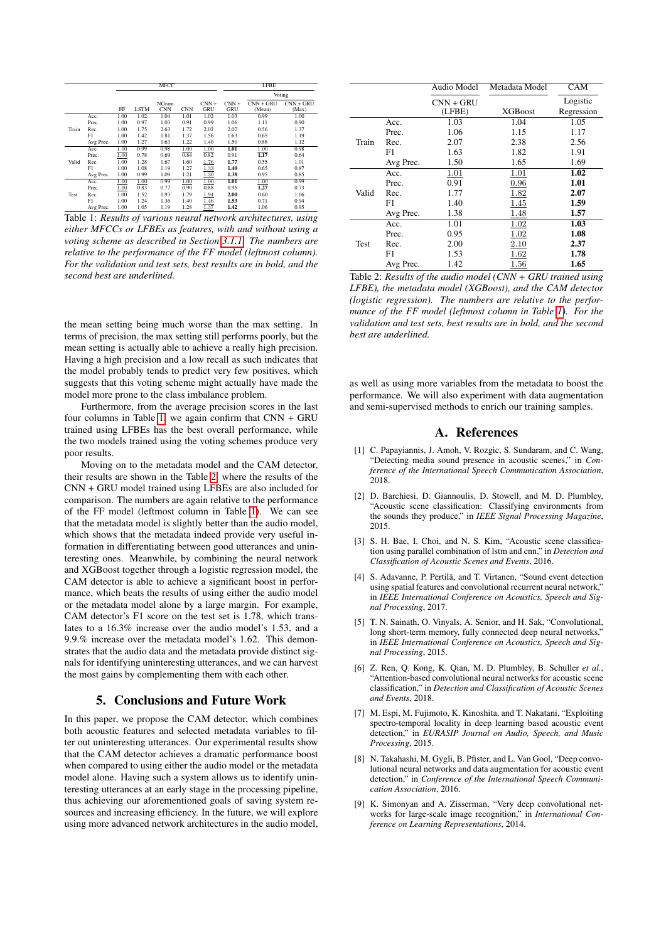<span id="page-3-10"></span>

|       |           | <b>MFCC</b> |             |            |            | <b>LFBE</b> |            |             |             |
|-------|-----------|-------------|-------------|------------|------------|-------------|------------|-------------|-------------|
|       |           |             |             |            |            | Voting      |            |             |             |
|       |           |             |             | NGram      |            | $CNN +$     | $CNN +$    | $CNN + GRU$ | $CNN + GRU$ |
|       |           | FF          | <b>LSTM</b> | <b>CNN</b> | <b>CNN</b> | GRU         | <b>GRU</b> | (Mean)      | (Max)       |
| Train | Acc.      | 1.00        | 1.02        | 1.04       | 1.01       | 1.02        | 1.03       | 0.99        | 1.00        |
|       | Prec.     | 1.00        | 0.97        | 1.03       | 0.91       | 0.99        | 1.06       | 1.11        | 0.90        |
|       | Rec.      | 1.00        | 1.75        | 2.63       | 1.72       | 2.02        | 2.07       | 0.56        | 1.37        |
|       | F1        | 1.00        | 1.42        | 1.81       | 1.37       | 1.56        | 1.63       | 0.65        | 1.19        |
|       | Avg Prec. | 1.00        | 1.27        | 1.63       | 1.22       | 1.40        | 1.50       | 0.88        | 1.12        |
| Valid | Acc.      | 1.00        | 0.99        | 0.98       | 1.00       | 1.00        | 1.01       | 1.00        | 0.98        |
|       | Prec.     | 1.00        | 0.78        | 0.69       | 0.84       | 0.82        | 0.91       | 1.17        | 0.64        |
|       | Rec.      | 1.00        | 1.28        | 1.67       | 1.60       | 1.76        | 1.77       | 0.55        | 1.01        |
|       | F1        | 1.00        | 1.08        | 1.19       | 1.27       | 1.33        | 1.40       | 0.65        | 0.87        |
|       | Avg Prec. | 1.00        | 0.99        | 1.09       | 1.21       | 1.30        | 1.38       | 0.95        | 0.85        |
| Test  | Acc.      | 1.00        | 1.00        | 0.99       | 1.00       | 1.00        | 1.01       | 1.00        | 0.99        |
|       | Prec.     | 1.00        | 0.83        | 0.77       | 0.90       | 0.88        | 0.95       | 1.27        | 0.73        |
|       | Rec.      | 1.00        | 1.52        | 1.93       | 1.79       | 1.94        | 2.00       | 0.60        | 1.06        |
|       | F1        | 1.00        | 1.24        | 1.36       | 1.40       | 1.46        | 1.53       | 0.71        | 0.94        |
|       | Avg Prec. | 1.00        | 1.05        | 1.19       | 1.28       | 1.37        | 1.42       | 1.06        | 0.95        |

Table 1: *Results of various neural network architectures, using either MFCCs or LFBEs as features, with and without using a voting scheme as described in Section [3.1.1.](#page-1-2) The numbers are relative to the performance of the FF model (leftmost column). For the validation and test sets, best results are in bold, and the second best are underlined.*

the mean setting being much worse than the max setting. In terms of precision, the max setting still performs poorly, but the mean setting is actually able to achieve a really high precision. Having a high precision and a low recall as such indicates that the model probably tends to predict very few positives, which suggests that this voting scheme might actually have made the model more prone to the class imbalance problem.

Furthermore, from the average precision scores in the last four columns in Table [1,](#page-3-10) we again confirm that CNN + GRU trained using LFBEs has the best overall performance, while the two models trained using the voting schemes produce very poor results.

Moving on to the metadata model and the CAM detector, their results are shown in the Table [2,](#page-3-11) where the results of the CNN + GRU model trained using LFBEs are also included for comparison. The numbers are again relative to the performance of the FF model (leftmost column in Table [1\)](#page-3-10). We can see that the metadata model is slightly better than the audio model, which shows that the metadata indeed provide very useful information in differentiating between good utterances and uninteresting ones. Meanwhile, by combining the neural network and XGBoost together through a logistic regression model, the CAM detector is able to achieve a significant boost in performance, which beats the results of using either the audio model or the metadata model alone by a large margin. For example, CAM detector's F1 score on the test set is 1.78, which translates to a 16.3% increase over the audio model's 1.53, and a 9.9.% increase over the metadata model's 1.62. This demonstrates that the audio data and the metadata provide distinct signals for identifying uninteresting utterances, and we can harvest the most gains by complementing them with each other.

## 5. Conclusions and Future Work

<span id="page-3-0"></span>In this paper, we propose the CAM detector, which combines both acoustic features and selected metadata variables to filter out uninteresting utterances. Our experimental results show that the CAM detector achieves a dramatic performance boost when compared to using either the audio model or the metadata model alone. Having such a system allows us to identify uninteresting utterances at an early stage in the processing pipeline, thus achieving our aforementioned goals of saving system resources and increasing efficiency. In the future, we will explore using more advanced network architectures in the audio model,

<span id="page-3-11"></span>

|             |           | Audio Model           | Metadata Model | <b>CAM</b>             |
|-------------|-----------|-----------------------|----------------|------------------------|
|             |           | $CNN + GRU$<br>(LFBE) | <b>XGBoost</b> | Logistic<br>Regression |
|             | Acc.      | 1.03                  | 1.04           | 1.05                   |
|             | Prec.     | 1.06                  | 1.15           | 1.17                   |
| Train       | Rec.      | 2.07                  | 2.38           | 2.56                   |
|             | F1        | 1.63                  | 1.82           | 1.91                   |
|             | Avg Prec. | 1.50                  | 1.65           | 1.69                   |
|             | Acc.      | 1.01                  | 1.01           | 1.02                   |
|             | Prec.     | 0.91                  | 0.96           | 1.01                   |
| Valid       | Rec.      | 1.77                  | <u>1.82</u>    | 2.07                   |
|             | F1        | 1.40                  | 1.45           | 1.59                   |
|             | Avg Prec. | 1.38                  | 1.48           | 1.57                   |
|             | Acc.      | 1.01                  | 1.02           | 1.03                   |
|             | Prec.     | 0.95                  | 1.02           | 1.08                   |
| <b>Test</b> | Rec.      | 2.00                  | 2.10           | 2.37                   |
|             | F1        | 1.53                  | <u>1.62</u>    | 1.78                   |
|             | Avg Prec. | 1.42                  | $_{1.56}$      | 1.65                   |

Table 2: *Results of the audio model (CNN + GRU trained using LFBE), the metadata model (XGBoost), and the CAM detector (logistic regression). The numbers are relative to the performance of the FF model (leftmost column in Table [1\)](#page-3-10). For the validation and test sets, best results are in bold, and the second best are underlined.*

as well as using more variables from the metadata to boost the performance. We will also experiment with data augmentation and semi-supervised methods to enrich our training samples.

### A. References

- <span id="page-3-1"></span>[1] C. Papayiannis, J. Amoh, V. Rozgic, S. Sundaram, and C. Wang, "Detecting media sound presence in acoustic scenes," in *Conference of the International Speech Communication Association*, 2018.
- <span id="page-3-2"></span>[2] D. Barchiesi, D. Giannoulis, D. Stowell, and M. D. Plumbley, "Acoustic scene classification: Classifying environments from the sounds they produce," in *IEEE Signal Processing Magazine*, 2015.
- <span id="page-3-3"></span>[3] S. H. Bae, I. Choi, and N. S. Kim, "Acoustic scene classification using parallel combination of lstm and cnn," in *Detection and Classification of Acoustic Scenes and Events*, 2016.
- <span id="page-3-4"></span>[4] S. Adavanne, P. Pertilä, and T. Virtanen, "Sound event detection using spatial features and convolutional recurrent neural network," in *IEEE International Conference on Acoustics, Speech and Signal Processing*, 2017.
- <span id="page-3-5"></span>[5] T. N. Sainath, O. Vinyals, A. Senior, and H. Sak, "Convolutional, long short-term memory, fully connected deep neural networks," in *IEEE International Conference on Acoustics, Speech and Signal Processing*, 2015.
- <span id="page-3-6"></span>[6] Z. Ren, Q. Kong, K. Qian, M. D. Plumbley, B. Schuller *et al.*, "Attention-based convolutional neural networks for acoustic scene classification," in *Detection and Classification of Acoustic Scenes and Events*, 2018.
- <span id="page-3-7"></span>[7] M. Espi, M. Fujimoto, K. Kinoshita, and T. Nakatani, "Exploiting spectro-temporal locality in deep learning based acoustic event detection," in *EURASIP Journal on Audio, Speech, and Music Processing*, 2015.
- <span id="page-3-8"></span>[8] N. Takahashi, M. Gygli, B. Pfister, and L. Van Gool, "Deep convolutional neural networks and data augmentation for acoustic event detection," in *Conference of the International Speech Communication Association*, 2016.
- <span id="page-3-9"></span>[9] K. Simonyan and A. Zisserman, "Very deep convolutional networks for large-scale image recognition," in *International Conference on Learning Representations*, 2014.